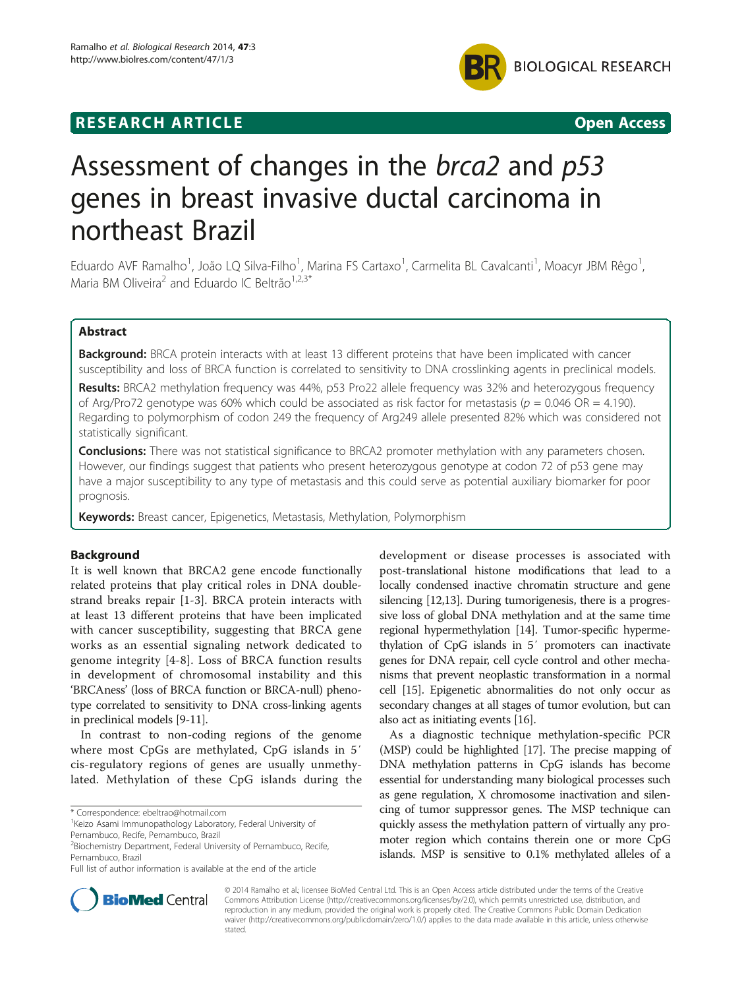



# Assessment of changes in the brca2 and p53 genes in breast invasive ductal carcinoma in northeast Brazil

Eduardo AVF Ramalho<sup>1</sup>, João LQ Silva-Filho<sup>1</sup>, Marina FS Cartaxo<sup>1</sup>, Carmelita BL Cavalcanti<sup>1</sup>, Moacyr JBM Rêgo<sup>1</sup> , Maria BM Oliveira<sup>2</sup> and Eduardo IC Beltrão<sup>1,2,3\*</sup>

# Abstract

Background: BRCA protein interacts with at least 13 different proteins that have been implicated with cancer susceptibility and loss of BRCA function is correlated to sensitivity to DNA crosslinking agents in preclinical models.

Results: BRCA2 methylation frequency was 44%, p53 Pro22 allele frequency was 32% and heterozygous frequency of Arg/Pro72 genotype was 60% which could be associated as risk factor for metastasis ( $p = 0.046 \text{ OR } = 4.190$ ). Regarding to polymorphism of codon 249 the frequency of Arg249 allele presented 82% which was considered not statistically significant.

**Conclusions:** There was not statistical significance to BRCA2 promoter methylation with any parameters chosen. However, our findings suggest that patients who present heterozygous genotype at codon 72 of p53 gene may have a major susceptibility to any type of metastasis and this could serve as potential auxiliary biomarker for poor prognosis.

Keywords: Breast cancer, Epigenetics, Metastasis, Methylation, Polymorphism

# Background

It is well known that BRCA2 gene encode functionally related proteins that play critical roles in DNA doublestrand breaks repair [[1-](#page-5-0)[3](#page-6-0)]. BRCA protein interacts with at least 13 different proteins that have been implicated with cancer susceptibility, suggesting that BRCA gene works as an essential signaling network dedicated to genome integrity [[4](#page-6-0)-[8\]](#page-6-0). Loss of BRCA function results in development of chromosomal instability and this 'BRCAness' (loss of BRCA function or BRCA-null) phenotype correlated to sensitivity to DNA cross-linking agents in preclinical models [\[9-11\]](#page-6-0).

In contrast to non-coding regions of the genome where most CpGs are methylated, CpG islands in 5′ cis-regulatory regions of genes are usually unmethylated. Methylation of these CpG islands during the

\* Correspondence: [ebeltrao@hotmail.com](mailto:ebeltrao@hotmail.com) <sup>1</sup>

development or disease processes is associated with post-translational histone modifications that lead to a locally condensed inactive chromatin structure and gene silencing [\[12,13](#page-6-0)]. During tumorigenesis, there is a progressive loss of global DNA methylation and at the same time regional hypermethylation [\[14\]](#page-6-0). Tumor-specific hypermethylation of CpG islands in 5′ promoters can inactivate genes for DNA repair, cell cycle control and other mechanisms that prevent neoplastic transformation in a normal cell [[15](#page-6-0)]. Epigenetic abnormalities do not only occur as secondary changes at all stages of tumor evolution, but can also act as initiating events [[16](#page-6-0)].

As a diagnostic technique methylation-specific PCR (MSP) could be highlighted [\[17\]](#page-6-0). The precise mapping of DNA methylation patterns in CpG islands has become essential for understanding many biological processes such as gene regulation, X chromosome inactivation and silencing of tumor suppressor genes. The MSP technique can quickly assess the methylation pattern of virtually any promoter region which contains therein one or more CpG islands. MSP is sensitive to 0.1% methylated alleles of a



© 2014 Ramalho et al.; licensee BioMed Central Ltd. This is an Open Access article distributed under the terms of the Creative Commons Attribution License [\(http://creativecommons.org/licenses/by/2.0\)](http://creativecommons.org/licenses/by/2.0), which permits unrestricted use, distribution, and reproduction in any medium, provided the original work is properly cited. The Creative Commons Public Domain Dedication waiver [\(http://creativecommons.org/publicdomain/zero/1.0/\)](http://creativecommons.org/publicdomain/zero/1.0/) applies to the data made available in this article, unless otherwise stated.

<sup>&</sup>lt;sup>1</sup> Keizo Asami Immunopathology Laboratory, Federal University of Pernambuco, Recife, Pernambuco, Brazil

<sup>&</sup>lt;sup>2</sup> Biochemistry Department, Federal University of Pernambuco, Recife, Pernambuco, Brazil

Full list of author information is available at the end of the article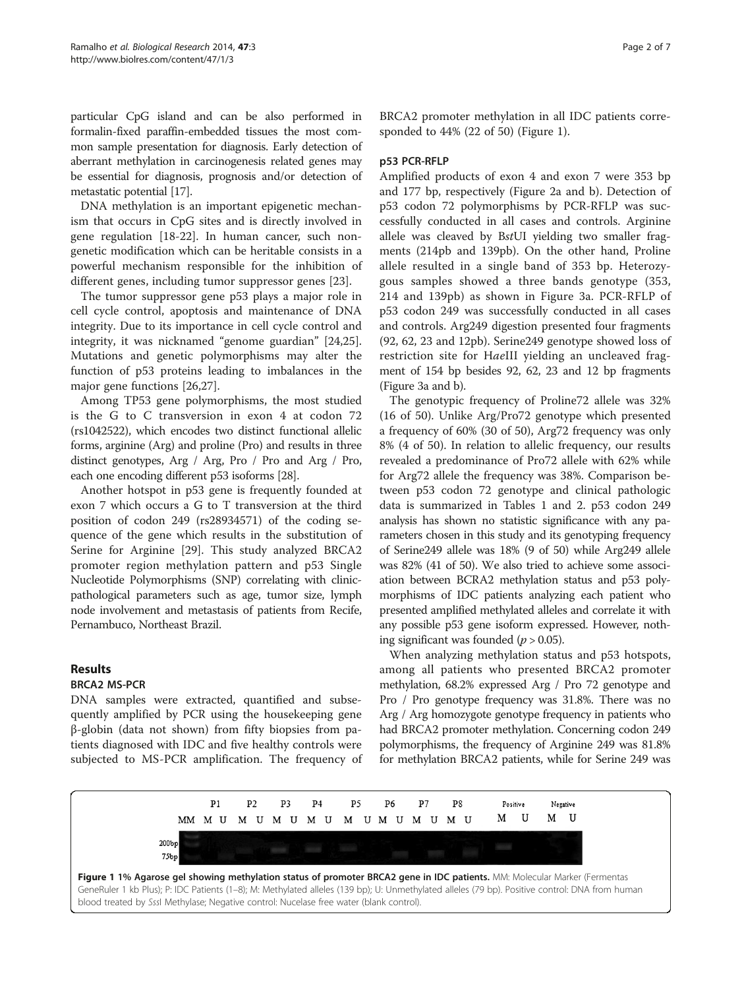particular CpG island and can be also performed in formalin-fixed paraffin-embedded tissues the most common sample presentation for diagnosis. Early detection of aberrant methylation in carcinogenesis related genes may be essential for diagnosis, prognosis and/or detection of metastatic potential [\[17](#page-6-0)].

DNA methylation is an important epigenetic mechanism that occurs in CpG sites and is directly involved in gene regulation [[18-22](#page-6-0)]. In human cancer, such nongenetic modification which can be heritable consists in a powerful mechanism responsible for the inhibition of different genes, including tumor suppressor genes [\[23](#page-6-0)].

The tumor suppressor gene p53 plays a major role in cell cycle control, apoptosis and maintenance of DNA integrity. Due to its importance in cell cycle control and integrity, it was nicknamed "genome guardian" [\[24,25](#page-6-0)]. Mutations and genetic polymorphisms may alter the function of p53 proteins leading to imbalances in the major gene functions [\[26,27](#page-6-0)].

Among TP53 gene polymorphisms, the most studied is the G to C transversion in exon 4 at codon 72 (rs1042522), which encodes two distinct functional allelic forms, arginine (Arg) and proline (Pro) and results in three distinct genotypes, Arg / Arg, Pro / Pro and Arg / Pro, each one encoding different p53 isoforms [[28](#page-6-0)].

Another hotspot in p53 gene is frequently founded at exon 7 which occurs a G to T transversion at the third position of codon 249 (rs28934571) of the coding sequence of the gene which results in the substitution of Serine for Arginine [[29](#page-6-0)]. This study analyzed BRCA2 promoter region methylation pattern and p53 Single Nucleotide Polymorphisms (SNP) correlating with clinicpathological parameters such as age, tumor size, lymph node involvement and metastasis of patients from Recife, Pernambuco, Northeast Brazil.

# Results

## BRCA2 MS-PCR

DNA samples were extracted, quantified and subsequently amplified by PCR using the housekeeping gene β-globin (data not shown) from fifty biopsies from patients diagnosed with IDC and five healthy controls were subjected to MS-PCR amplification. The frequency of BRCA2 promoter methylation in all IDC patients corresponded to 44% (22 of 50) (Figure 1).

## p53 PCR-RFLP

Amplified products of exon 4 and exon 7 were 353 bp and 177 bp, respectively (Figure [2](#page-2-0)a and b). Detection of p53 codon 72 polymorphisms by PCR-RFLP was successfully conducted in all cases and controls. Arginine allele was cleaved by BstUI yielding two smaller fragments (214pb and 139pb). On the other hand, Proline allele resulted in a single band of 353 bp. Heterozygous samples showed a three bands genotype (353, 214 and 139pb) as shown in Figure [3](#page-2-0)a. PCR-RFLP of p53 codon 249 was successfully conducted in all cases and controls. Arg249 digestion presented four fragments (92, 62, 23 and 12pb). Serine249 genotype showed loss of restriction site for HaeIII yielding an uncleaved fragment of 154 bp besides 92, 62, 23 and 12 bp fragments (Figure [3](#page-2-0)a and b).

The genotypic frequency of Proline72 allele was 32% (16 of 50). Unlike Arg/Pro72 genotype which presented a frequency of 60% (30 of 50), Arg72 frequency was only 8% (4 of 50). In relation to allelic frequency, our results revealed a predominance of Pro72 allele with 62% while for Arg72 allele the frequency was 38%. Comparison between p53 codon 72 genotype and clinical pathologic data is summarized in Tables [1](#page-3-0) and [2](#page-3-0). p53 codon 249 analysis has shown no statistic significance with any parameters chosen in this study and its genotyping frequency of Serine249 allele was 18% (9 of 50) while Arg249 allele was 82% (41 of 50). We also tried to achieve some association between BCRA2 methylation status and p53 polymorphisms of IDC patients analyzing each patient who presented amplified methylated alleles and correlate it with any possible p53 gene isoform expressed. However, nothing significant was founded ( $p > 0.05$ ).

When analyzing methylation status and p53 hotspots, among all patients who presented BRCA2 promoter methylation, 68.2% expressed Arg / Pro 72 genotype and Pro / Pro genotype frequency was 31.8%. There was no Arg / Arg homozygote genotype frequency in patients who had BRCA2 promoter methylation. Concerning codon 249 polymorphisms, the frequency of Arginine 249 was 81.8% for methylation BRCA2 patients, while for Serine 249 was

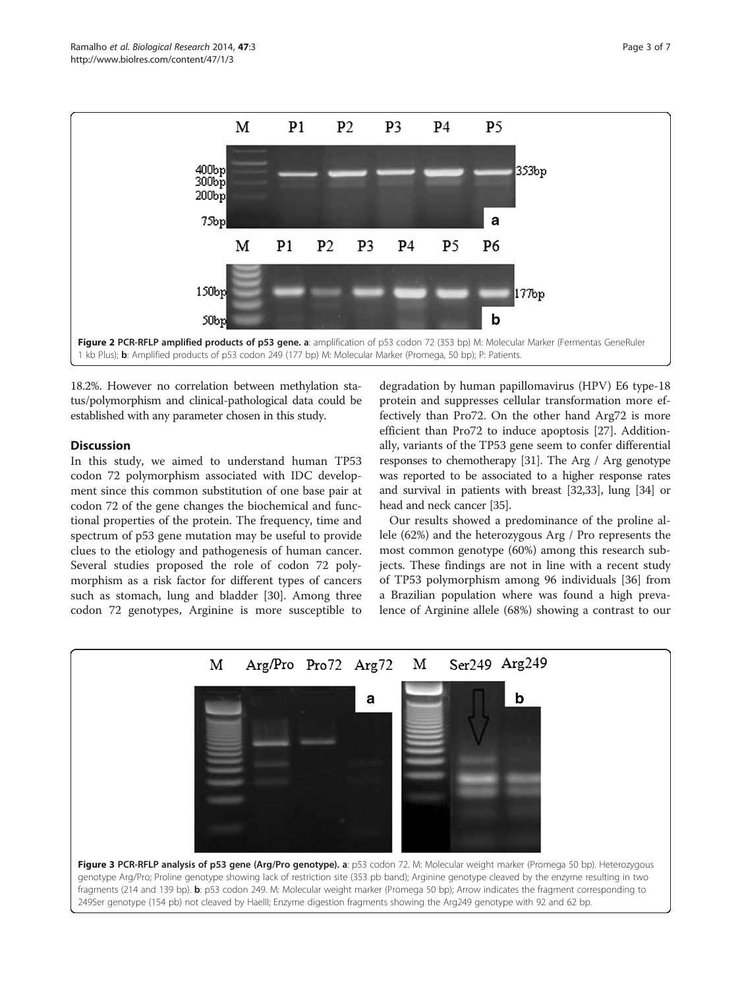<span id="page-2-0"></span>

18.2%. However no correlation between methylation status/polymorphism and clinical-pathological data could be established with any parameter chosen in this study.

# **Discussion**

In this study, we aimed to understand human TP53 codon 72 polymorphism associated with IDC development since this common substitution of one base pair at codon 72 of the gene changes the biochemical and functional properties of the protein. The frequency, time and spectrum of p53 gene mutation may be useful to provide clues to the etiology and pathogenesis of human cancer. Several studies proposed the role of codon 72 polymorphism as a risk factor for different types of cancers such as stomach, lung and bladder [[30\]](#page-6-0). Among three codon 72 genotypes, Arginine is more susceptible to

degradation by human papillomavirus (HPV) E6 type-18 protein and suppresses cellular transformation more effectively than Pro72. On the other hand Arg72 is more efficient than Pro72 to induce apoptosis [[27\]](#page-6-0). Additionally, variants of the TP53 gene seem to confer differential responses to chemotherapy [\[31\]](#page-6-0). The Arg / Arg genotype was reported to be associated to a higher response rates and survival in patients with breast [\[32,33](#page-6-0)], lung [\[34\]](#page-6-0) or head and neck cancer [\[35\]](#page-6-0).

Our results showed a predominance of the proline allele (62%) and the heterozygous Arg / Pro represents the most common genotype (60%) among this research subjects. These findings are not in line with a recent study of TP53 polymorphism among 96 individuals [[36\]](#page-6-0) from a Brazilian population where was found a high prevalence of Arginine allele (68%) showing a contrast to our

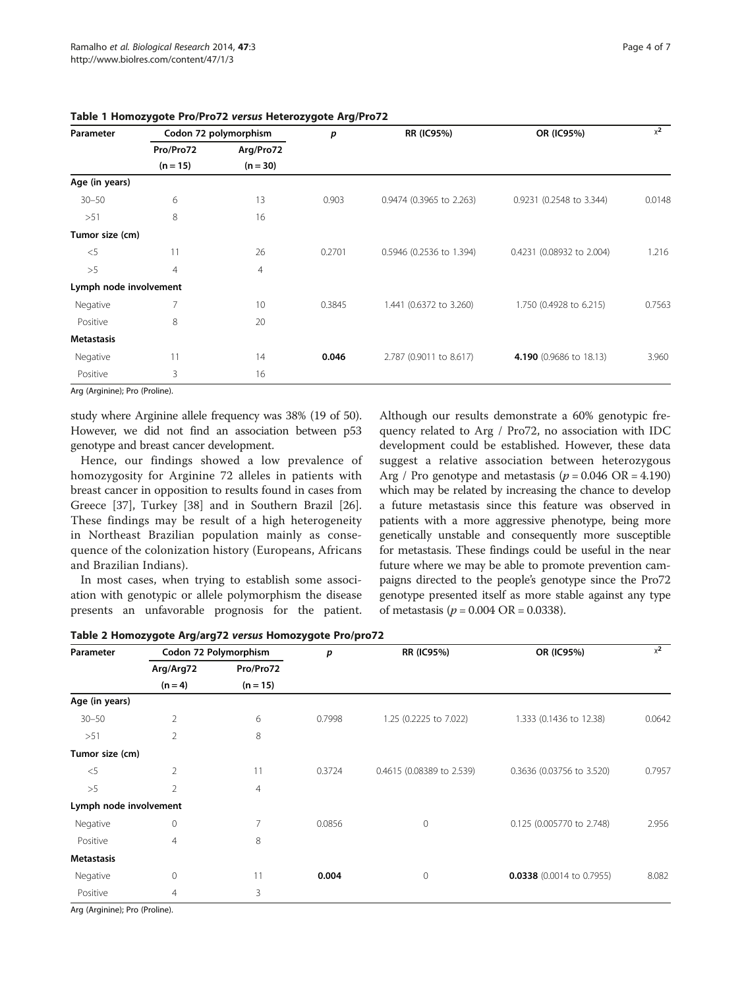| Parameter              | Codon 72 polymorphism   |                         | p      | <b>RR (IC95%)</b>        | OR (IC95%)                | $x^2$  |
|------------------------|-------------------------|-------------------------|--------|--------------------------|---------------------------|--------|
|                        | Pro/Pro72<br>$(n = 15)$ | Arg/Pro72<br>$(n = 30)$ |        |                          |                           |        |
|                        |                         |                         |        |                          |                           |        |
| $30 - 50$              | 6                       | 13                      | 0.903  | 0.9474 (0.3965 to 2.263) | 0.9231 (0.2548 to 3.344)  | 0.0148 |
| >51                    | 8                       | 16                      |        |                          |                           |        |
| Tumor size (cm)        |                         |                         |        |                          |                           |        |
| $<$ 5                  | 11                      | 26                      | 0.2701 | 0.5946 (0.2536 to 1.394) | 0.4231 (0.08932 to 2.004) | 1.216  |
| >5                     | $\overline{4}$          | $\overline{4}$          |        |                          |                           |        |
| Lymph node involvement |                         |                         |        |                          |                           |        |
| Negative               |                         | 10                      | 0.3845 | 1.441 (0.6372 to 3.260)  | 1.750 (0.4928 to 6.215)   | 0.7563 |
| Positive               | 8                       | 20                      |        |                          |                           |        |
| <b>Metastasis</b>      |                         |                         |        |                          |                           |        |
| Negative               | 11                      | 14                      | 0.046  | 2.787 (0.9011 to 8.617)  | 4.190 (0.9686 to 18.13)   | 3.960  |
| Positive               | 3                       | 16                      |        |                          |                           |        |

## <span id="page-3-0"></span>Table 1 Homozygote Pro/Pro72 versus Heterozygote Arg/Pro72

Arg (Arginine); Pro (Proline).

study where Arginine allele frequency was 38% (19 of 50). However, we did not find an association between p53 genotype and breast cancer development.

Hence, our findings showed a low prevalence of homozygosity for Arginine 72 alleles in patients with breast cancer in opposition to results found in cases from Greece [\[37](#page-6-0)], Turkey [[38](#page-6-0)] and in Southern Brazil [\[26](#page-6-0)]. These findings may be result of a high heterogeneity in Northeast Brazilian population mainly as consequence of the colonization history (Europeans, Africans and Brazilian Indians).

In most cases, when trying to establish some association with genotypic or allele polymorphism the disease presents an unfavorable prognosis for the patient. Although our results demonstrate a 60% genotypic frequency related to Arg / Pro72, no association with IDC development could be established. However, these data suggest a relative association between heterozygous Arg / Pro genotype and metastasis  $(p = 0.046 \text{ OR} = 4.190)$ which may be related by increasing the chance to develop a future metastasis since this feature was observed in patients with a more aggressive phenotype, being more genetically unstable and consequently more susceptible for metastasis. These findings could be useful in the near future where we may be able to promote prevention campaigns directed to the people's genotype since the Pro72 genotype presented itself as more stable against any type of metastasis ( $p = 0.004 \text{ OR} = 0.0338$ ).

|                        | Codon 72 Polymorphism   |        | <b>RR (IC95%)</b>         | OR (IC95%)                  | $x^2$  |
|------------------------|-------------------------|--------|---------------------------|-----------------------------|--------|
| Arg/Arg72<br>$(n = 4)$ | Pro/Pro72<br>$(n = 15)$ |        |                           |                             |        |
|                        |                         |        |                           |                             |        |
| $\overline{2}$         | 6                       | 0.7998 | 1.25 (0.2225 to 7.022)    | 1.333 (0.1436 to 12.38)     | 0.0642 |
| 2                      | 8                       |        |                           |                             |        |
|                        |                         |        |                           |                             |        |
| $\overline{2}$         | 11                      | 0.3724 | 0.4615 (0.08389 to 2.539) | 0.3636 (0.03756 to 3.520)   | 0.7957 |
| $\overline{2}$         | $\overline{4}$          |        |                           |                             |        |
| Lymph node involvement |                         |        |                           |                             |        |
| $\mathbf{0}$           | 7                       | 0.0856 | 0                         | 0.125 (0.005770 to 2.748)   | 2.956  |
| $\overline{4}$         | 8                       |        |                           |                             |        |
|                        |                         |        |                           |                             |        |
| $\circ$                | 11                      | 0.004  | $\mathbf 0$               | $0.0338$ (0.0014 to 0.7955) | 8.082  |
| $\overline{4}$         | 3                       |        |                           |                             |        |
|                        |                         |        |                           |                             |        |

Table 2 Homozygote Arg/arg72 versus Homozygote Pro/pro72

Arg (Arginine); Pro (Proline).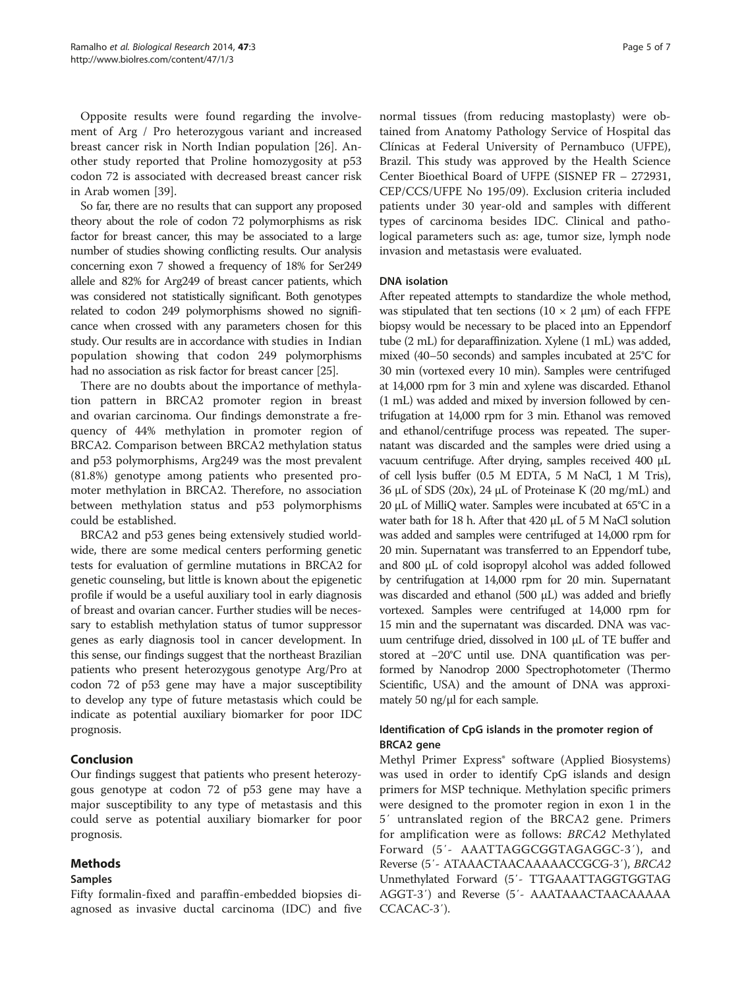Opposite results were found regarding the involvement of Arg / Pro heterozygous variant and increased breast cancer risk in North Indian population [[26](#page-6-0)]. Another study reported that Proline homozygosity at p53 codon 72 is associated with decreased breast cancer risk in Arab women [[39\]](#page-6-0).

So far, there are no results that can support any proposed theory about the role of codon 72 polymorphisms as risk factor for breast cancer, this may be associated to a large number of studies showing conflicting results. Our analysis concerning exon 7 showed a frequency of 18% for Ser249 allele and 82% for Arg249 of breast cancer patients, which was considered not statistically significant. Both genotypes related to codon 249 polymorphisms showed no significance when crossed with any parameters chosen for this study. Our results are in accordance with studies in Indian population showing that codon 249 polymorphisms had no association as risk factor for breast cancer [\[25\]](#page-6-0).

There are no doubts about the importance of methylation pattern in BRCA2 promoter region in breast and ovarian carcinoma. Our findings demonstrate a frequency of 44% methylation in promoter region of BRCA2. Comparison between BRCA2 methylation status and p53 polymorphisms, Arg249 was the most prevalent (81.8%) genotype among patients who presented promoter methylation in BRCA2. Therefore, no association between methylation status and p53 polymorphisms could be established.

BRCA2 and p53 genes being extensively studied worldwide, there are some medical centers performing genetic tests for evaluation of germline mutations in BRCA2 for genetic counseling, but little is known about the epigenetic profile if would be a useful auxiliary tool in early diagnosis of breast and ovarian cancer. Further studies will be necessary to establish methylation status of tumor suppressor genes as early diagnosis tool in cancer development. In this sense, our findings suggest that the northeast Brazilian patients who present heterozygous genotype Arg/Pro at codon 72 of p53 gene may have a major susceptibility to develop any type of future metastasis which could be indicate as potential auxiliary biomarker for poor IDC prognosis.

# Conclusion

Our findings suggest that patients who present heterozygous genotype at codon 72 of p53 gene may have a major susceptibility to any type of metastasis and this could serve as potential auxiliary biomarker for poor prognosis.

# Methods

# Samples

Fifty formalin-fixed and paraffin-embedded biopsies diagnosed as invasive ductal carcinoma (IDC) and five

normal tissues (from reducing mastoplasty) were obtained from Anatomy Pathology Service of Hospital das Clínicas at Federal University of Pernambuco (UFPE), Brazil. This study was approved by the Health Science Center Bioethical Board of UFPE (SISNEP FR – 272931, CEP/CCS/UFPE No 195/09). Exclusion criteria included patients under 30 year-old and samples with different types of carcinoma besides IDC. Clinical and pathological parameters such as: age, tumor size, lymph node invasion and metastasis were evaluated.

# DNA isolation

After repeated attempts to standardize the whole method, was stipulated that ten sections  $(10 \times 2 \mu m)$  of each FFPE biopsy would be necessary to be placed into an Eppendorf tube (2 mL) for deparaffinization. Xylene (1 mL) was added, mixed (40–50 seconds) and samples incubated at 25°C for 30 min (vortexed every 10 min). Samples were centrifuged at 14,000 rpm for 3 min and xylene was discarded. Ethanol (1 mL) was added and mixed by inversion followed by centrifugation at 14,000 rpm for 3 min. Ethanol was removed and ethanol/centrifuge process was repeated. The supernatant was discarded and the samples were dried using a vacuum centrifuge. After drying, samples received 400 μL of cell lysis buffer (0.5 M EDTA, 5 M NaCl, 1 M Tris), 36 μL of SDS (20x), 24 μL of Proteinase K (20 mg/mL) and 20 μL of MilliQ water. Samples were incubated at 65°C in a water bath for 18 h. After that 420 μL of 5 M NaCl solution was added and samples were centrifuged at 14,000 rpm for 20 min. Supernatant was transferred to an Eppendorf tube, and 800 μL of cold isopropyl alcohol was added followed by centrifugation at 14,000 rpm for 20 min. Supernatant was discarded and ethanol (500 μL) was added and briefly vortexed. Samples were centrifuged at 14,000 rpm for 15 min and the supernatant was discarded. DNA was vacuum centrifuge dried, dissolved in 100 μL of TE buffer and stored at −20°C until use. DNA quantification was performed by Nanodrop 2000 Spectrophotometer (Thermo Scientific, USA) and the amount of DNA was approximately 50 ng/μl for each sample.

# Identification of CpG islands in the promoter region of BRCA2 gene

Methyl Primer Express<sup>®</sup> software (Applied Biosystems) was used in order to identify CpG islands and design primers for MSP technique. Methylation specific primers were designed to the promoter region in exon 1 in the 5′ untranslated region of the BRCA2 gene. Primers for amplification were as follows: BRCA2 Methylated Forward (5′- AAATTAGGCGGTAGAGGC-3′), and Reverse (5′- ATAAACTAACAAAAACCGCG-3′), BRCA2 Unmethylated Forward (5′- TTGAAATTAGGTGGTAG AGGT-3′) and Reverse (5′- AAATAAACTAACAAAAA CCACAC-3′).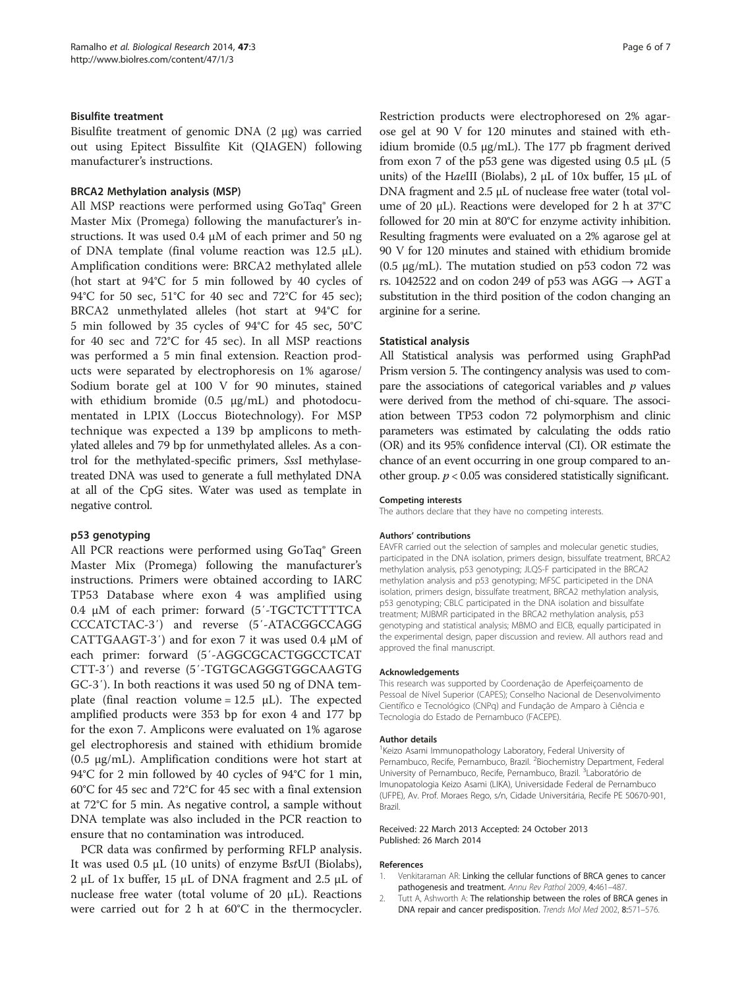## <span id="page-5-0"></span>Bisulfite treatment

Bisulfite treatment of genomic DNA (2 μg) was carried out using Epitect Bissulfite Kit (QIAGEN) following manufacturer's instructions.

## BRCA2 Methylation analysis (MSP)

All MSP reactions were performed using GoTaq® Green Master Mix (Promega) following the manufacturer's instructions. It was used 0.4 μM of each primer and 50 ng of DNA template (final volume reaction was 12.5 μL). Amplification conditions were: BRCA2 methylated allele (hot start at 94°C for 5 min followed by 40 cycles of 94°C for 50 sec, 51°C for 40 sec and 72°C for 45 sec); BRCA2 unmethylated alleles (hot start at 94°C for 5 min followed by 35 cycles of 94°C for 45 sec, 50°C for 40 sec and 72°C for 45 sec). In all MSP reactions was performed a 5 min final extension. Reaction products were separated by electrophoresis on 1% agarose/ Sodium borate gel at 100 V for 90 minutes, stained with ethidium bromide (0.5 μg/mL) and photodocumentated in LPIX (Loccus Biotechnology). For MSP technique was expected a 139 bp amplicons to methylated alleles and 79 bp for unmethylated alleles. As a control for the methylated-specific primers, SssI methylasetreated DNA was used to generate a full methylated DNA at all of the CpG sites. Water was used as template in negative control.

## p53 genotyping

All PCR reactions were performed using GoTaq® Green Master Mix (Promega) following the manufacturer's instructions. Primers were obtained according to IARC TP53 Database where exon 4 was amplified using 0.4 μM of each primer: forward (5′-TGCTCTTTTCA CCCATCTAC-3′) and reverse (5′-ATACGGCCAGG CATTGAAGT-3′) and for exon 7 it was used 0.4 μM of each primer: forward (5′-AGGCGCACTGGCCTCAT CTT-3′) and reverse (5′-TGTGCAGGGTGGCAAGTG GC-3′). In both reactions it was used 50 ng of DNA template (final reaction volume =  $12.5 \mu L$ ). The expected amplified products were 353 bp for exon 4 and 177 bp for the exon 7. Amplicons were evaluated on 1% agarose gel electrophoresis and stained with ethidium bromide (0.5 μg/mL). Amplification conditions were hot start at 94°C for 2 min followed by 40 cycles of 94°C for 1 min, 60°C for 45 sec and 72°C for 45 sec with a final extension at 72°C for 5 min. As negative control, a sample without DNA template was also included in the PCR reaction to ensure that no contamination was introduced.

PCR data was confirmed by performing RFLP analysis. It was used  $0.5 \mu L$  (10 units) of enzyme BstUI (Biolabs), 2 μL of 1x buffer, 15 μL of DNA fragment and 2.5 μL of nuclease free water (total volume of 20  $\mu$ L). Reactions were carried out for 2 h at 60°C in the thermocycler.

Restriction products were electrophoresed on 2% agarose gel at 90 V for 120 minutes and stained with ethidium bromide (0.5 μg/mL). The 177 pb fragment derived from exon 7 of the p53 gene was digested using  $0.5 \mu L$  (5 units) of the HaeIII (Biolabs), 2 μL of 10x buffer, 15 μL of DNA fragment and 2.5 μL of nuclease free water (total volume of 20 μL). Reactions were developed for 2 h at 37°C followed for 20 min at 80°C for enzyme activity inhibition. Resulting fragments were evaluated on a 2% agarose gel at 90 V for 120 minutes and stained with ethidium bromide (0.5 μg/mL). The mutation studied on p53 codon 72 was rs. 1042522 and on codon 249 of p53 was AGG  $\rightarrow$  AGT a substitution in the third position of the codon changing an arginine for a serine.

## Statistical analysis

All Statistical analysis was performed using GraphPad Prism version 5. The contingency analysis was used to compare the associations of categorical variables and  $p$  values were derived from the method of chi-square. The association between TP53 codon 72 polymorphism and clinic parameters was estimated by calculating the odds ratio (OR) and its 95% confidence interval (CI). OR estimate the chance of an event occurring in one group compared to another group.  $p < 0.05$  was considered statistically significant.

#### Competing interests

The authors declare that they have no competing interests.

#### Authors' contributions

EAVFR carried out the selection of samples and molecular genetic studies, participated in the DNA isolation, primers design, bissulfate treatment, BRCA2 methylation analysis, p53 genotyping; JLQS-F participated in the BRCA2 methylation analysis and p53 genotyping; MFSC participeted in the DNA isolation, primers design, bissulfate treatment, BRCA2 methylation analysis, p53 genotyping; CBLC participated in the DNA isolation and bissulfate treatment; MJBMR participated in the BRCA2 methylation analysis, p53 genotyping and statistical analysis; MBMO and EICB, equally participated in the experimental design, paper discussion and review. All authors read and approved the final manuscript.

#### Acknowledgements

This research was supported by Coordenação de Aperfeiçoamento de Pessoal de Nível Superior (CAPES); Conselho Nacional de Desenvolvimento Científico e Tecnológico (CNPq) and Fundação de Amparo à Ciência e Tecnologia do Estado de Pernambuco (FACEPE).

#### Author details

<sup>1</sup> Keizo Asami Immunopathology Laboratory, Federal University of Pernambuco, Recife, Pernambuco, Brazil. <sup>2</sup> Biochemistry Department, Federal University of Pernambuco, Recife, Pernambuco, Brazil. <sup>3</sup>Laboratório de Imunopatologia Keizo Asami (LIKA), Universidade Federal de Pernambuco (UFPE), Av. Prof. Moraes Rego, s/n, Cidade Universitária, Recife PE 50670-901, Brazil.

#### Received: 22 March 2013 Accepted: 24 October 2013 Published: 26 March 2014

#### References

- 1. Venkitaraman AR: Linking the cellular functions of BRCA genes to cancer pathogenesis and treatment. Annu Rev Pathol 2009, 4:461–487.
- 2. Tutt A, Ashworth A: The relationship between the roles of BRCA genes in DNA repair and cancer predisposition. Trends Mol Med 2002, 8:571–576.